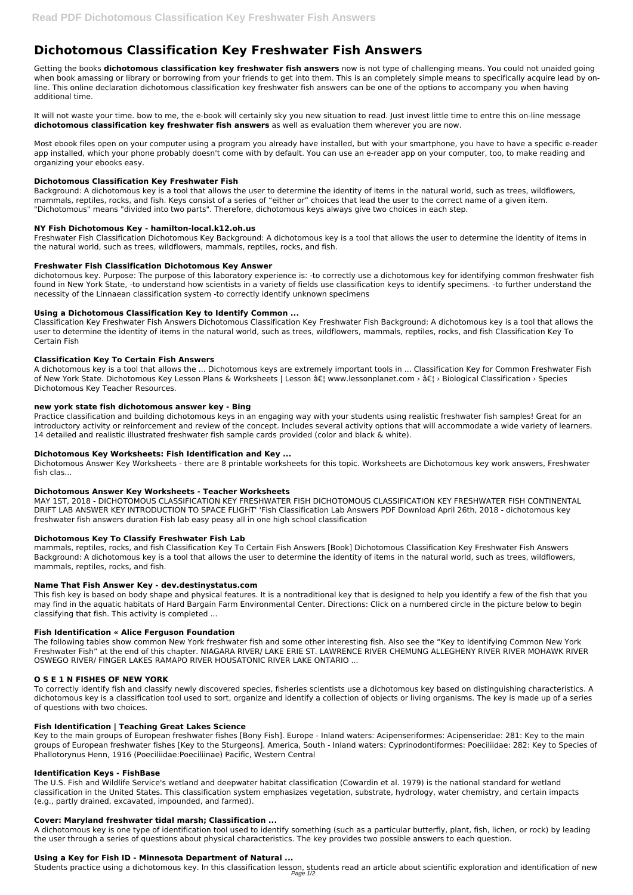# **Dichotomous Classification Key Freshwater Fish Answers**

Getting the books **dichotomous classification key freshwater fish answers** now is not type of challenging means. You could not unaided going when book amassing or library or borrowing from your friends to get into them. This is an completely simple means to specifically acquire lead by online. This online declaration dichotomous classification key freshwater fish answers can be one of the options to accompany you when having additional time.

It will not waste your time. bow to me, the e-book will certainly sky you new situation to read. Just invest little time to entre this on-line message **dichotomous classification key freshwater fish answers** as well as evaluation them wherever you are now.

Most ebook files open on your computer using a program you already have installed, but with your smartphone, you have to have a specific e-reader app installed, which your phone probably doesn't come with by default. You can use an e-reader app on your computer, too, to make reading and organizing your ebooks easy.

# **Dichotomous Classification Key Freshwater Fish**

Background: A dichotomous key is a tool that allows the user to determine the identity of items in the natural world, such as trees, wildflowers, mammals, reptiles, rocks, and fish. Keys consist of a series of "either or" choices that lead the user to the correct name of a given item. "Dichotomous" means "divided into two parts". Therefore, dichotomous keys always give two choices in each step.

# **NY Fish Dichotomous Key - hamilton-local.k12.oh.us**

Freshwater Fish Classification Dichotomous Key Background: A dichotomous key is a tool that allows the user to determine the identity of items in the natural world, such as trees, wildflowers, mammals, reptiles, rocks, and fish.

# **Freshwater Fish Classification Dichotomous Key Answer**

dichotomous key. Purpose: The purpose of this laboratory experience is: -to correctly use a dichotomous key for identifying common freshwater fish found in New York State, -to understand how scientists in a variety of fields use classification keys to identify specimens. -to further understand the necessity of the Linnaean classification system -to correctly identify unknown specimens

# **Using a Dichotomous Classification Key to Identify Common ...**

Classification Key Freshwater Fish Answers Dichotomous Classification Key Freshwater Fish Background: A dichotomous key is a tool that allows the user to determine the identity of items in the natural world, such as trees, wildflowers, mammals, reptiles, rocks, and fish Classification Key To Certain Fish

# **Classification Key To Certain Fish Answers**

A dichotomous key is a tool that allows the ... Dichotomous keys are extremely important tools in ... Classification Key for Common Freshwater Fish of New York State. Dichotomous Key Lesson Plans & Worksheets | Lesson â $\epsilon$ | www.lessonplanet.com > â $\epsilon$ | > Biological Classification > Species Dichotomous Key Teacher Resources.

## **new york state fish dichotomous answer key - Bing**

Practice classification and building dichotomous keys in an engaging way with your students using realistic freshwater fish samples! Great for an introductory activity or reinforcement and review of the concept. Includes several activity options that will accommodate a wide variety of learners. 14 detailed and realistic illustrated freshwater fish sample cards provided (color and black & white).

# **Dichotomous Key Worksheets: Fish Identification and Key ...**

Dichotomous Answer Key Worksheets - there are 8 printable worksheets for this topic. Worksheets are Dichotomous key work answers, Freshwater fish clas...

## **Dichotomous Answer Key Worksheets - Teacher Worksheets**

MAY 1ST, 2018 - DICHOTOMOUS CLASSIFICATION KEY FRESHWATER FISH DICHOTOMOUS CLASSIFICATION KEY FRESHWATER FISH CONTINENTAL DRIFT LAB ANSWER KEY INTRODUCTION TO SPACE FLIGHT' 'Fish Classification Lab Answers PDF Download April 26th, 2018 - dichotomous key freshwater fish answers duration Fish lab easy peasy all in one high school classification

## **Dichotomous Key To Classify Freshwater Fish Lab**

mammals, reptiles, rocks, and fish Classification Key To Certain Fish Answers [Book] Dichotomous Classification Key Freshwater Fish Answers Background: A dichotomous key is a tool that allows the user to determine the identity of items in the natural world, such as trees, wildflowers, mammals, reptiles, rocks, and fish.

## **Name That Fish Answer Key - dev.destinystatus.com**

This fish key is based on body shape and physical features. It is a nontraditional key that is designed to help you identify a few of the fish that you may find in the aquatic habitats of Hard Bargain Farm Environmental Center. Directions: Click on a numbered circle in the picture below to begin classifying that fish. This activity is completed ...

## **Fish Identification « Alice Ferguson Foundation**

The following tables show common New York freshwater fish and some other interesting fish. Also see the "Key to Identifying Common New York Freshwater Fish" at the end of this chapter. NIAGARA RIVER/ LAKE ERIE ST. LAWRENCE RIVER CHEMUNG ALLEGHENY RIVER RIVER MOHAWK RIVER OSWEGO RIVER/ FINGER LAKES RAMAPO RIVER HOUSATONIC RIVER LAKE ONTARIO ...

#### **O S E 1 N FISHES OF NEW YORK**

To correctly identify fish and classify newly discovered species, fisheries scientists use a dichotomous key based on distinguishing characteristics. A dichotomous key is a classification tool used to sort, organize and identify a collection of objects or living organisms. The key is made up of a series of questions with two choices.

# **Fish Identification | Teaching Great Lakes Science**

Key to the main groups of European freshwater fishes [Bony Fish]. Europe - Inland waters: Acipenseriformes: Acipenseridae: 281: Key to the main groups of European freshwater fishes [Key to the Sturgeons]. America, South - Inland waters: Cyprinodontiformes: Poeciliidae: 282: Key to Species of Phallotorynus Henn, 1916 (Poeciliidae:Poeciliinae) Pacific, Western Central

#### **Identification Keys - FishBase**

The U.S. Fish and Wildlife Service's wetland and deepwater habitat classification (Cowardin et al. 1979) is the national standard for wetland classification in the United States. This classification system emphasizes vegetation, substrate, hydrology, water chemistry, and certain impacts (e.g., partly drained, excavated, impounded, and farmed).

#### **Cover: Maryland freshwater tidal marsh; Classification ...**

A dichotomous key is one type of identification tool used to identify something (such as a particular butterfly, plant, fish, lichen, or rock) by leading the user through a series of questions about physical characteristics. The key provides two possible answers to each question.

#### **Using a Key for Fish ID - Minnesota Department of Natural ...**

Students practice using a dichotomous key. In this classification lesson, students read an article about scientific exploration and identification of new Page 1/2